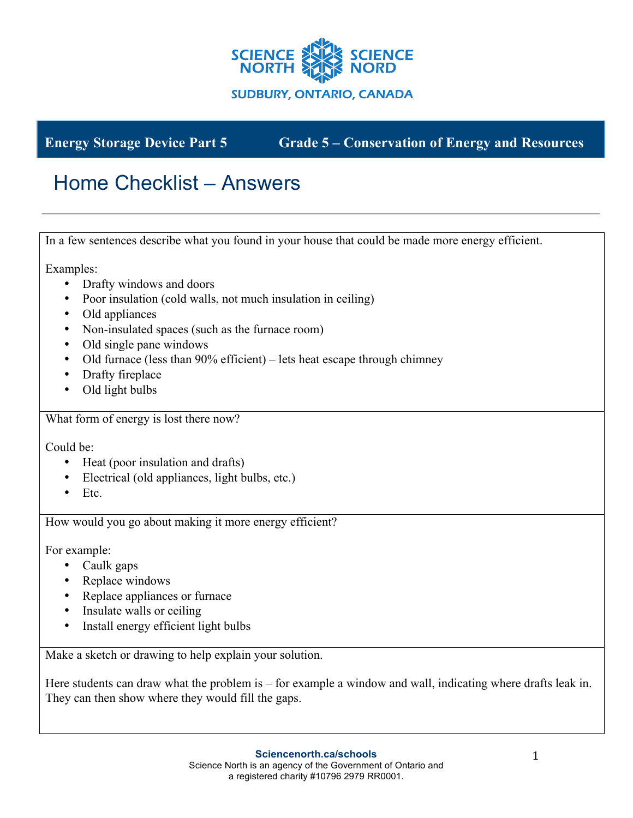

**Energy Storage Device Part 5 Grade 5 – Conservation of Energy and Resources**

## Home Checklist – Answers

In a few sentences describe what you found in your house that could be made more energy efficient.

Examples:

- Drafty windows and doors
- Poor insulation (cold walls, not much insulation in ceiling)
- Old appliances
- Non-insulated spaces (such as the furnace room)
- Old single pane windows
- Old furnace (less than 90% efficient) lets heat escape through chimney
- Drafty fireplace
- Old light bulbs

What form of energy is lost there now?

Could be:

- Heat (poor insulation and drafts)
- Electrical (old appliances, light bulbs, etc.)
- Etc.

How would you go about making it more energy efficient?

For example:

- Caulk gaps
- Replace windows
- Replace appliances or furnace
- Insulate walls or ceiling
- Install energy efficient light bulbs

Make a sketch or drawing to help explain your solution.

Here students can draw what the problem is – for example a window and wall, indicating where drafts leak in. They can then show where they would fill the gaps.